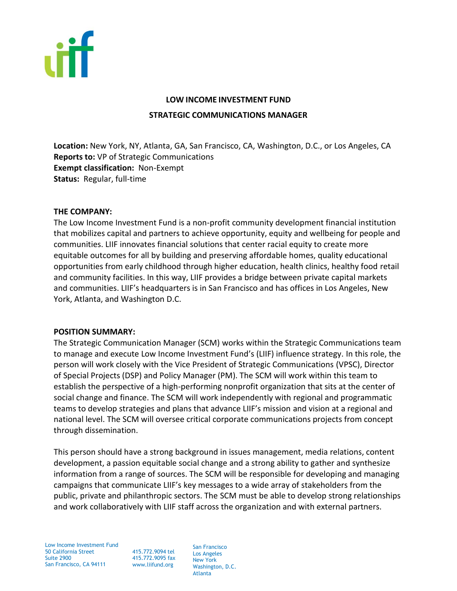

# **LOW INCOME INVESTMENT FUND STRATEGIC COMMUNICATIONS MANAGER**

**Location:** New York, NY, Atlanta, GA, San Francisco, CA, Washington, D.C., or Los Angeles, CA **Reports to:** VP of Strategic Communications **Exempt classification:** Non-Exempt **Status:** Regular, full-time

#### **THE COMPANY:**

The Low Income Investment Fund is a non-profit community development financial institution that mobilizes capital and partners to achieve opportunity, equity and wellbeing for people and communities. LIIF innovates financial solutions that center racial equity to create more equitable outcomes for all by building and preserving affordable homes, quality educational opportunities from early childhood through higher education, health clinics, healthy food retail and community facilities. In this way, LIIF provides a bridge between private capital markets and communities. LIIF's headquarters is in San Francisco and has offices in Los Angeles, New York, Atlanta, and Washington D.C.

# **POSITION SUMMARY:**

The Strategic Communication Manager (SCM) works within the Strategic Communications team to manage and execute Low Income Investment Fund's (LIIF) influence strategy. In this role, the person will work closely with the Vice President of Strategic Communications (VPSC), Director of Special Projects (DSP) and Policy Manager (PM). The SCM will work within this team to establish the perspective of a high-performing nonprofit organization that sits at the center of social change and finance. The SCM will work independently with regional and programmatic teams to develop strategies and plans that advance LIIF's mission and vision at a regional and national level. The SCM will oversee critical corporate communications projects from concept through dissemination.

This person should have a strong background in issues management, media relations, content development, a passion equitable social change and a strong ability to gather and synthesize information from a range of sources. The SCM will be responsible for developing and managing campaigns that communicate LIIF's key messages to a wide array of stakeholders from the public, private and philanthropic sectors. The SCM must be able to develop strong relationships and work collaboratively with LIIF staff across the organization and with external partners.

Low Income Investment Fund 50 California Street Suite 2900 San Francisco, CA 94111

415.772.9094 tel 415.772.9095 fax www.liifund.org

San Francisco Los Angeles New York Washington, D.C. Atlanta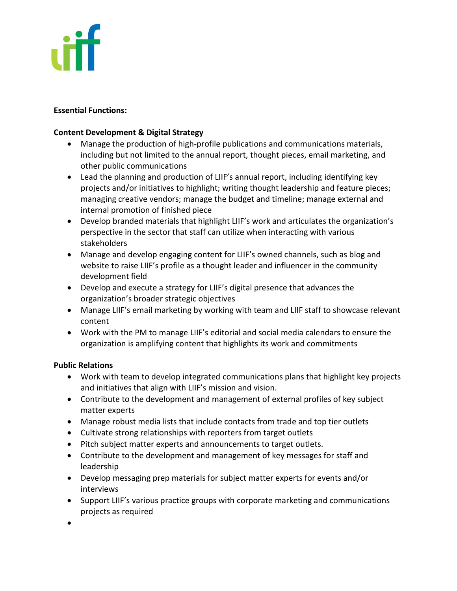

#### **Essential Functions:**

#### **Content Development & Digital Strategy**

- Manage the production of high-profile publications and communications materials, including but not limited to the annual report, thought pieces, email marketing, and other public communications
- Lead the planning and production of LIIF's annual report, including identifying key projects and/or initiatives to highlight; writing thought leadership and feature pieces; managing creative vendors; manage the budget and timeline; manage external and internal promotion of finished piece
- Develop branded materials that highlight LIIF's work and articulates the organization's perspective in the sector that staff can utilize when interacting with various stakeholders
- Manage and develop engaging content for LIIF's owned channels, such as blog and website to raise LIIF's profile as a thought leader and influencer in the community development field
- Develop and execute a strategy for LIIF's digital presence that advances the organization's broader strategic objectives
- Manage LIIF's email marketing by working with team and LIIF staff to showcase relevant content
- Work with the PM to manage LIIF's editorial and social media calendars to ensure the organization is amplifying content that highlights its work and commitments

# **Public Relations**

- Work with team to develop integrated communications plans that highlight key projects and initiatives that align with LIIF's mission and vision.
- Contribute to the development and management of external profiles of key subject matter experts
- Manage robust media lists that include contacts from trade and top tier outlets
- Cultivate strong relationships with reporters from target outlets
- Pitch subject matter experts and announcements to target outlets.
- Contribute to the development and management of key messages for staff and leadership
- Develop messaging prep materials for subject matter experts for events and/or interviews
- Support LIIF's various practice groups with corporate marketing and communications projects as required
- •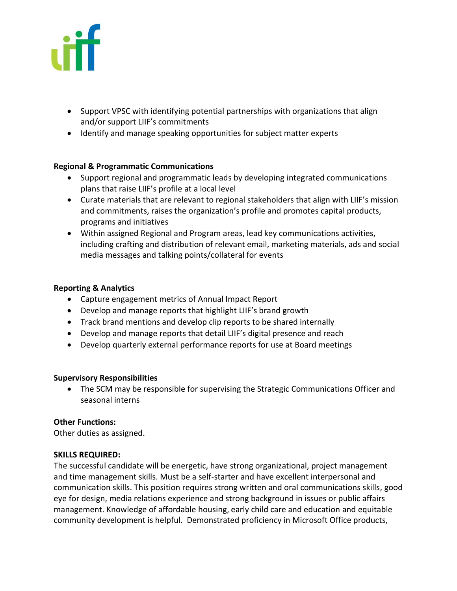

- Support VPSC with identifying potential partnerships with organizations that align and/or support LIIF's commitments
- Identify and manage speaking opportunities for subject matter experts

# **Regional & Programmatic Communications**

- Support regional and programmatic leads by developing integrated communications plans that raise LIIF's profile at a local level
- Curate materials that are relevant to regional stakeholders that align with LIIF's mission and commitments, raises the organization's profile and promotes capital products, programs and initiatives
- Within assigned Regional and Program areas, lead key communications activities, including crafting and distribution of relevant email, marketing materials, ads and social media messages and talking points/collateral for events

# **Reporting & Analytics**

- Capture engagement metrics of Annual Impact Report
- Develop and manage reports that highlight LIIF's brand growth
- Track brand mentions and develop clip reports to be shared internally
- Develop and manage reports that detail LIIF's digital presence and reach
- Develop quarterly external performance reports for use at Board meetings

# **Supervisory Responsibilities**

• The SCM may be responsible for supervising the Strategic Communications Officer and seasonal interns

# **Other Functions:**

Other duties as assigned.

# **SKILLS REQUIRED:**

The successful candidate will be energetic, have strong organizational, project management and time management skills. Must be a self-starter and have excellent interpersonal and communication skills. This position requires strong written and oral communications skills, good eye for design, media relations experience and strong background in issues or public affairs management. Knowledge of affordable housing, early child care and education and equitable community development is helpful. Demonstrated proficiency in Microsoft Office products,